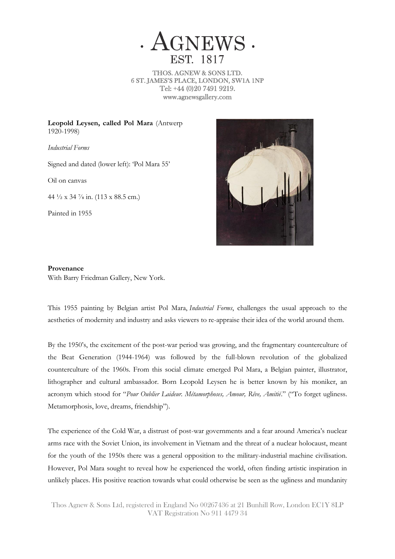

THOS. AGNEW & SONS LTD. 6 ST. JAMES'S PLACE, LONDON, SW1A 1NP Tel: +44 (0)20 7491 9219. www.agnewsgallery.com

**Leopold Leysen, called Pol Mara** (Antwerp 1920-1998)

*Industrial Forms*

Signed and dated (lower left): 'Pol Mara 55'

Oil on canvas

44 ½ x 34 ⅞ in. (113 x 88.5 cm.)

Painted in 1955



## **Provenance**

With Barry Friedman Gallery, New York.

This 1955 painting by Belgian artist Pol Mara, *Industrial Forms*, challenges the usual approach to the aesthetics of modernity and industry and asks viewers to re-appraise their idea of the world around them.

By the 1950's, the excitement of the post-war period was growing, and the fragmentary counterculture of the Beat Generation (1944-1964) was followed by the full-blown revolution of the globalized counterculture of the 1960s. From this social climate emerged Pol Mara, a Belgian painter, illustrator, lithographer and cultural ambassador. Born Leopold Leysen he is better known by his moniker, an acronym which stood for "*Pour Oublier Laideur. Métamorphoses, Amour, Rêve, Amitié*." ("To forget ugliness. Metamorphosis, love, dreams, friendship").

The experience of the Cold War, a distrust of post-war governments and a fear around America's nuclear arms race with the Soviet Union, its involvement in Vietnam and the threat of a nuclear holocaust, meant for the youth of the 1950s there was a general opposition to the military-industrial machine civilisation. However, Pol Mara sought to reveal how he experienced the world, often finding artistic inspiration in unlikely places. His positive reaction towards what could otherwise be seen as the ugliness and mundanity